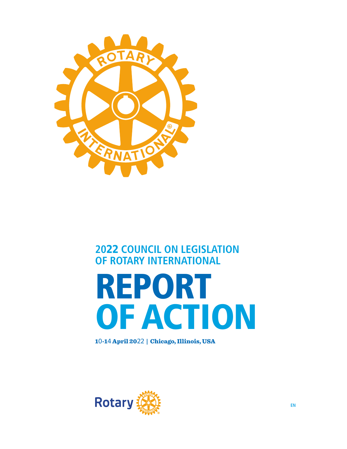

## **2022 COUNCIL ON LEGISLATION OF ROTARY INTERNATIONAL**

# REPORT OF ACTION

10-14 April 2022 | Chicago, Illinois, USA

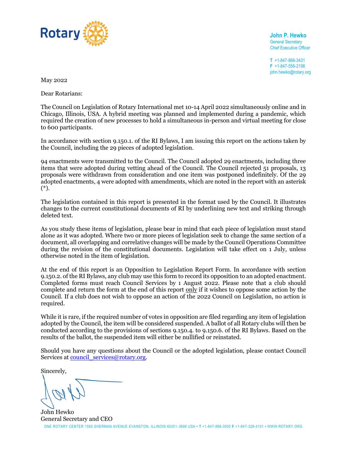

**John P. Hewko** General Secretary Chief Executive Officer

**T** +1-847-866-3431 **F** +1-847-556-2198 john.hewko@rotary.org

May 2022

Dear Rotarians:

The Council on Legislation of Rotary International met 10-14 April 2022 simultaneously online and in Chicago, Illinois, USA. A hybrid meeting was planned and implemented during a pandemic, which required the creation of new processes to hold a simultaneous in-person and virtual meeting for close to 600 participants.

In accordance with section 9.150.1. of the RI Bylaws, I am issuing this report on the actions taken by the Council, including the 29 pieces of adopted legislation.

94 enactments were transmitted to the Council. The Council adopted 29 enactments, including three items that were adopted during vetting ahead of the Council. The Council rejected 51 proposals, 13 proposals were withdrawn from consideration and one item was postponed indefinitely. Of the 29 adopted enactments, 4 were adopted with amendments, which are noted in the report with an asterisk (\*).

The legislation contained in this report is presented in the format used by the Council. It illustrates changes to the current constitutional documents of RI by underlining new text and striking through deleted text.

As you study these items of legislation, please bear in mind that each piece of legislation must stand alone as it was adopted. Where two or more pieces of legislation seek to change the same section of a document, all overlapping and correlative changes will be made by the Council Operations Committee during the revision of the constitutional documents. Legislation will take effect on 1 July, unless otherwise noted in the item of legislation.

At the end of this report is an Opposition to Legislation Report Form. In accordance with section 9.150.2. of the RI Bylaws, any club may use this form to record its opposition to an adopted enactment. Completed forms must reach Council Services by 1 August 2022. Please note that a club should complete and return the form at the end of this report only if it wishes to oppose some action by the Council. If a club does not wish to oppose an action of the 2022 Council on Legislation, no action is required.

While it is rare, if the required number of votes in opposition are filed regarding any item of legislation adopted by the Council, the item will be considered suspended. A ballot of all Rotary clubs will then be conducted according to the provisions of sections 9.150.4. to 9.150.6. of the RI Bylaws. Based on the results of the ballot, the suspended item will either be nullified or reinstated.

Should you have any questions about the Council or the adopted legislation, please contact Council Services at <u>council\_services@rotary.org</u>.

Sincerely,

ONE ROTARY CENTER 1560 SHERMAN AVENUE EVANSTON, ILLINOIS 60201-3698 USA **• T** +1-847-866-3000 **F** +1-847-328-4101 **•** WWW.ROTARY.ORG John Hewko General Secretary and CEO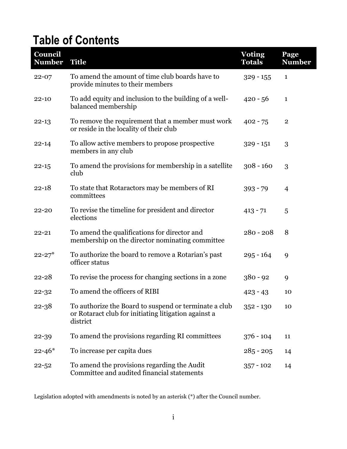# **Table of Contents**

| Council<br><b>Number</b> | <b>Title</b>                                                                                                              | <b>Voting</b><br><b>Totals</b> | Page<br><b>Number</b> |
|--------------------------|---------------------------------------------------------------------------------------------------------------------------|--------------------------------|-----------------------|
| $22 - 07$                | To amend the amount of time club boards have to<br>provide minutes to their members                                       | $329 - 155$                    | $\mathbf{1}$          |
| $22 - 10$                | To add equity and inclusion to the building of a well-<br>balanced membership                                             | $420 - 56$                     | $\mathbf{1}$          |
| $22 - 13$                | To remove the requirement that a member must work<br>or reside in the locality of their club                              | $402 - 75$                     | $\mathbf 2$           |
| $22 - 14$                | To allow active members to propose prospective<br>members in any club                                                     | $329 - 151$                    | 3                     |
| $22 - 15$                | To amend the provisions for membership in a satellite<br>club                                                             | $308 - 160$                    | 3                     |
| $22 - 18$                | To state that Rotaractors may be members of RI<br>committees                                                              | $393 - 79$                     | 4                     |
| $22 - 20$                | To revise the timeline for president and director<br>elections                                                            | $413 - 71$                     | 5                     |
| $22 - 21$                | To amend the qualifications for director and<br>membership on the director nominating committee                           | $280 - 208$                    | 8                     |
| $22 - 27$ <sup>*</sup>   | To authorize the board to remove a Rotarian's past<br>officer status                                                      | $295 - 164$                    | 9                     |
| $22 - 28$                | To revise the process for changing sections in a zone                                                                     | $380 - 92$                     | 9                     |
| $22 - 32$                | To amend the officers of RIBI                                                                                             | $423 - 43$                     | 10                    |
| $22 - 38$                | To authorize the Board to suspend or terminate a club<br>or Rotaract club for initiating litigation against a<br>district | $352 - 130$                    | 10                    |
| 22-39                    | To amend the provisions regarding RI committees                                                                           | $376 - 104$                    | 11                    |
| $22 - 46*$               | To increase per capita dues                                                                                               | $285 - 205$                    | 14                    |
| $22 - 52$                | To amend the provisions regarding the Audit<br>Committee and audited financial statements                                 | $357 - 102$                    | 14                    |

Legislation adopted with amendments is noted by an asterisk (\*) after the Council number.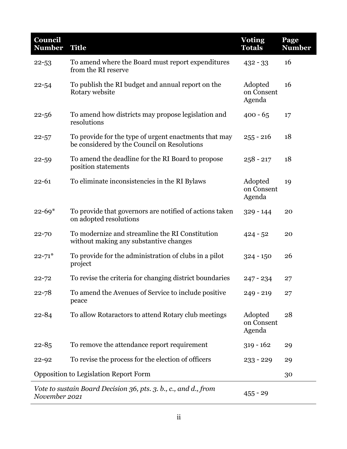| Council<br><b>Number</b>                     | <b>Title</b>                                                                                         | <b>Voting</b><br><b>Totals</b>  | Page<br><b>Number</b> |
|----------------------------------------------|------------------------------------------------------------------------------------------------------|---------------------------------|-----------------------|
| $22 - 53$                                    | To amend where the Board must report expenditures<br>from the RI reserve                             | $432 - 33$                      | 16                    |
| $22 - 54$                                    | To publish the RI budget and annual report on the<br>Rotary website                                  | Adopted<br>on Consent<br>Agenda | 16                    |
| $22 - 56$                                    | To amend how districts may propose legislation and<br>resolutions                                    | $400 - 65$                      | 17                    |
| $22 - 57$                                    | To provide for the type of urgent enactments that may<br>be considered by the Council on Resolutions | $255 - 216$                     | 18                    |
| $22 - 59$                                    | To amend the deadline for the RI Board to propose<br>position statements                             | $258 - 217$                     | 18                    |
| $22 - 61$                                    | To eliminate inconsistencies in the RI Bylaws                                                        | Adopted<br>on Consent<br>Agenda | 19                    |
| $22 - 69*$                                   | To provide that governors are notified of actions taken<br>on adopted resolutions                    | $329 - 144$                     | 20                    |
| $22 - 70$                                    | To modernize and streamline the RI Constitution<br>without making any substantive changes            | $424 - 52$                      | 20                    |
| $22 - 71$ <sup>*</sup>                       | To provide for the administration of clubs in a pilot<br>project                                     | $324 - 150$                     | 26                    |
| $22 - 72$                                    | To revise the criteria for changing district boundaries                                              | $247 - 234$                     | 27                    |
| $22 - 78$                                    | To amend the Avenues of Service to include positive<br>peace                                         | $249 - 219$                     | 27                    |
| $22 - 84$                                    | To allow Rotaractors to attend Rotary club meetings                                                  | Adopted<br>on Consent<br>Agenda | 28                    |
| $22 - 85$                                    | To remove the attendance report requirement                                                          | $319 - 162$                     | 29                    |
| $22 - 92$                                    | To revise the process for the election of officers                                                   | $233 - 229$                     | 29                    |
| <b>Opposition to Legislation Report Form</b> |                                                                                                      |                                 | 30                    |
| November 2021                                | Vote to sustain Board Decision 36, pts. 3. b., c., and d., from                                      | $455 - 29$                      |                       |

l,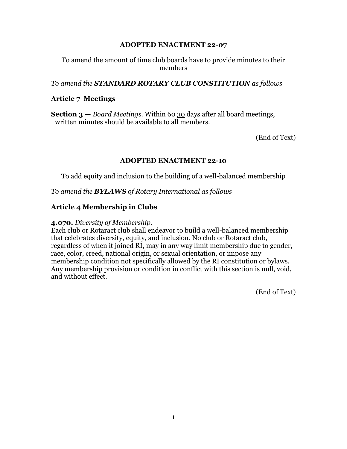To amend the amount of time club boards have to provide minutes to their members

#### *To amend the STANDARD ROTARY CLUB CONSTITUTION as follows*

## **Article 7 Meetings**

**Section 3** — *Board Meetings*. Within <del>60</del> 30 days after all board meetings, written minutes should be available to all members.

(End of Text)

#### **ADOPTED ENACTMENT 22-10**

To add equity and inclusion to the building of a well-balanced membership

*To amend the BYLAWS of Rotary International as follows*

#### **Article 4 Membership in Clubs**

#### **4.070.** *Diversity of Membership.*

Each club or Rotaract club shall endeavor to build a well-balanced membership that celebrates diversity, equity, and inclusion. No club or Rotaract club, regardless of when it joined RI, may in any way limit membership due to gender, race, color, creed, national origin, or sexual orientation, or impose any membership condition not specifically allowed by the RI constitution or bylaws. Any membership provision or condition in conflict with this section is null, void, and without effect.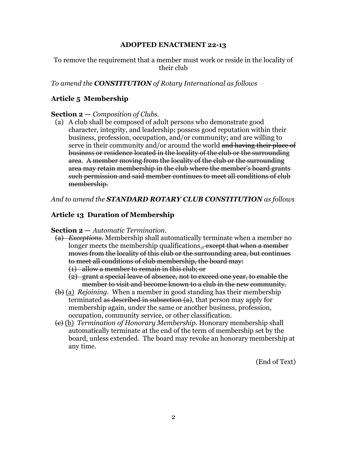#### To remove the requirement that a member must work or reside in the locality of their club

*To amend the CONSTITUTION of Rotary International as follows* 

## **Article 5 Membership**

#### **Section 2 —** *Composition of Clubs.*

(a) A club shall be composed of adult persons who demonstrate good character, integrity, and leadership; possess good reputation within their business, profession, occupation, and/or community; and are willing to serve in their community and/or around the world and having their place of business or residence located in the locality of the club or the surrounding area. A member moving from the locality of the club or the surrounding area may retain membership in the club where the member's board grants such permission and said member continues to meet all conditions of club membership.

*And to amend the STANDARD ROTARY CLUB CONSTITUTION as follows* 

## **Article 13 Duration of Membership**

#### **Section 2 —** *Automatic Termination.*

- (a) *Exceptions.* Membership shall automatically terminate when a member no longer meets the membership qualifications., except that when a member moves from the locality of this club or the surrounding area, but continues to meet all conditions of club membership, the board may: (1) allow a member to remain in this club; or
	- (2) grant a special leave of absence, not to exceed one year, to enable the member to visit and become known to a club in the new community.
- (b) (a) *Rejoining.* When a member in good standing has their membership terminated as described in subsection  $(a)$ , that person may apply for membership again, under the same or another business, profession, occupation, community service, or other classification.
- (c) (b) *Termination of Honorary Membership.* Honorary membership shall automatically terminate at the end of the term of membership set by the board, unless extended. The board may revoke an honorary membership at any time.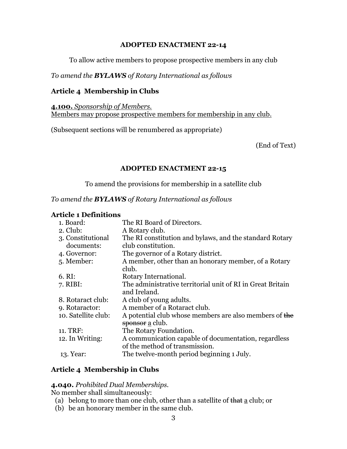To allow active members to propose prospective members in any club

## *To amend the BYLAWS of Rotary International as follows*

## **Article 4 Membership in Clubs**

**4.100.** *Sponsorship of Members.* Members may propose prospective members for membership in any club.

(Subsequent sections will be renumbered as appropriate)

(End of Text)

## **ADOPTED ENACTMENT 22-15**

To amend the provisions for membership in a satellite club

## *To amend the BYLAWS of Rotary International as follows*

#### **Article 1 Definitions**

| 1. Board:                       | The RI Board of Directors.                                                             |
|---------------------------------|----------------------------------------------------------------------------------------|
| $2.$ Club:                      | A Rotary club.                                                                         |
| 3. Constitutional<br>documents: | The RI constitution and bylaws, and the standard Rotary<br>club constitution.          |
| 4. Governor:                    | The governor of a Rotary district.                                                     |
| 5. Member:                      | A member, other than an honorary member, of a Rotary<br>club.                          |
| $6. \mathrm{RI}:$               | Rotary International.                                                                  |
| 7. RIBI:                        | The administrative territorial unit of RI in Great Britain<br>and Ireland.             |
| 8. Rotaract club:               | A club of young adults.                                                                |
| 9. Rotaractor:                  | A member of a Rotaract club.                                                           |
| 10. Satellite club:             | A potential club whose members are also members of the<br>sponsor a club.              |
| 11. TRF:                        | The Rotary Foundation.                                                                 |
| 12. In Writing:                 | A communication capable of documentation, regardless<br>of the method of transmission. |
| 13. Year:                       | The twelve-month period beginning 1 July.                                              |

## **Article 4 Membership in Clubs**

## **4.040.** *Prohibited Dual Memberships.*

No member shall simultaneously:

- (a) belong to more than one club, other than a satellite of that a club; or
- (b) be an honorary member in the same club.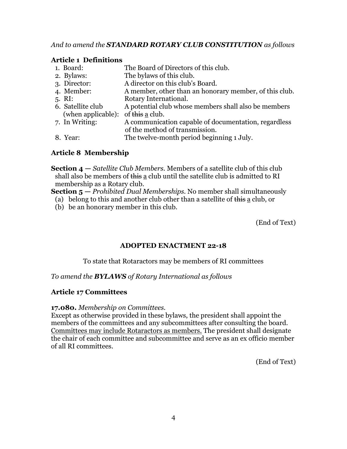## *And to amend the STANDARD ROTARY CLUB CONSTITUTION as follows*

## **Article 1 Definitions**

| 1. Board:                          | The Board of Directors of this club.                   |
|------------------------------------|--------------------------------------------------------|
| 2. Bylaws:                         | The bylaws of this club.                               |
| 3. Director:                       | A director on this club's Board.                       |
| 4. Member:                         | A member, other than an honorary member, of this club. |
| $5. \; \mathrm{RI:}$               | Rotary International.                                  |
| 6. Satellite club                  | A potential club whose members shall also be members   |
| (when applicable): of this a club. |                                                        |
| 7. In Writing:                     | A communication capable of documentation, regardless   |
|                                    | of the method of transmission.                         |
| 8. Year:                           | The twelve-month period beginning 1 July.              |

## **Article 8 Membership**

**Section 4 —** *Satellite Club Members.* Members of a satellite club of this club shall also be members of this a club until the satellite club is admitted to RI membership as a Rotary club.

**Section 5 —** *Prohibited Dual Memberships.* No member shall simultaneously

(a) belong to this and another club other than a satellite of this  $\underline{a}$  club, or

(b) be an honorary member in this club.

(End of Text)

## **ADOPTED ENACTMENT 22-18**

## To state that Rotaractors may be members of RI committees

## *To amend the BYLAWS of Rotary International as follows*

## **Article 17 Committees**

#### **17.080.** *Membership on Committees.*

Except as otherwise provided in these bylaws, the president shall appoint the members of the committees and any subcommittees after consulting the board. Committees may include Rotaractors as members. The president shall designate the chair of each committee and subcommittee and serve as an ex officio member of all RI committees.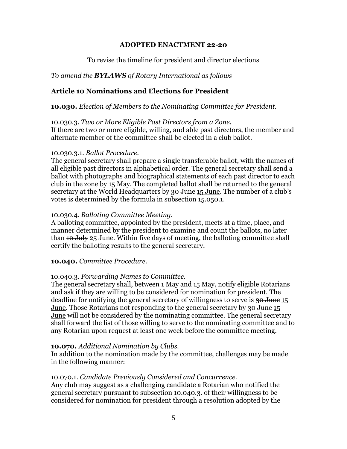To revise the timeline for president and director elections

## *To amend the BYLAWS of Rotary International as follows*

## **Article 10 Nominations and Elections for President**

**10.030.** *Election of Members to the Nominating Committee for President.*

#### 10.030.3. *Two or More Eligible Past Directors from a Zone.*

If there are two or more eligible, willing, and able past directors, the member and alternate member of the committee shall be elected in a club ballot.

#### 10.030.3.1. *Ballot Procedure.*

The general secretary shall prepare a single transferable ballot, with the names of all eligible past directors in alphabetical order. The general secretary shall send a ballot with photographs and biographical statements of each past director to each club in the zone by 15 May. The completed ballot shall be returned to the general secretary at the World Headquarters by 30 June 15 June. The number of a club's votes is determined by the formula in subsection 15.050.1.

## 10.030.4. *Balloting Committee Meeting.*

A balloting committee, appointed by the president, meets at a time, place, and manner determined by the president to examine and count the ballots, no later than <del>10 July</del> 25 June. Within five days of meeting, the balloting committee shall certify the balloting results to the general secretary.

## **10.040.** *Committee Procedure.*

## 10.040.3. *Forwarding Names to Committee.*

The general secretary shall, between 1 May and 15 May, notify eligible Rotarians and ask if they are willing to be considered for nomination for president. The deadline for notifying the general secretary of willingness to serve is 30 June 15 June. Those Rotarians not responding to the general secretary by <del>30 June</del> 15 June will not be considered by the nominating committee. The general secretary shall forward the list of those willing to serve to the nominating committee and to any Rotarian upon request at least one week before the committee meeting.

## **10.070.** *Additional Nomination by Clubs.*

In addition to the nomination made by the committee, challenges may be made in the following manner:

## 10.070.1. *Candidate Previously Considered and Concurrence.*

Any club may suggest as a challenging candidate a Rotarian who notified the general secretary pursuant to subsection 10.040.3. of their willingness to be considered for nomination for president through a resolution adopted by the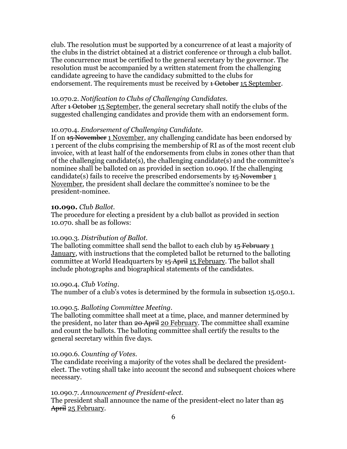club. The resolution must be supported by a concurrence of at least a majority of the clubs in the district obtained at a district conference or through a club ballot. The concurrence must be certified to the general secretary by the governor. The resolution must be accompanied by a written statement from the challenging candidate agreeing to have the candidacy submitted to the clubs for endorsement. The requirements must be received by <del>1 October</del> 15 September.

#### 10.070.2. *Notification to Clubs of Challenging Candidates.*

After <del>1 October</del> 15 September, the general secretary shall notify the clubs of the suggested challenging candidates and provide them with an endorsement form.

#### 10.070.4. *Endorsement of Challenging Candidate.*

If on  $\frac{15}{25}$  November 1 November, any challenging candidate has been endorsed by 1 percent of the clubs comprising the membership of RI as of the most recent club invoice, with at least half of the endorsements from clubs in zones other than that of the challenging candidate(s), the challenging candidate(s) and the committee's nominee shall be balloted on as provided in section 10.090. If the challenging candidate(s) fails to receive the prescribed endorsements by  $\frac{1}{2}$  November 1 November, the president shall declare the committee's nominee to be the president-nominee.

#### **10.090.** *Club Ballot.*

The procedure for electing a president by a club ballot as provided in section 10.070. shall be as follows:

## 10.090.3. *Distribution of Ballot.*

The balloting committee shall send the ballot to each club by  $1.5$  February 1 January, with instructions that the completed ballot be returned to the balloting committee at World Headquarters by <del>15 April</del> 15 February. The ballot shall include photographs and biographical statements of the candidates.

#### 10.090.4. *Club Voting.*

The number of a club's votes is determined by the formula in subsection 15.050.1.

## 10.090.5. *Balloting Committee Meeting.*

The balloting committee shall meet at a time, place, and manner determined by the president, no later than 20 April 20 February. The committee shall examine and count the ballots. The balloting committee shall certify the results to the general secretary within five days.

#### 10.090.6. *Counting of Votes.*

The candidate receiving a majority of the votes shall be declared the presidentelect. The voting shall take into account the second and subsequent choices where necessary.

## 10.090.7. *Announcement of President-elect.*

The president shall announce the name of the president-elect no later than  $25$ April 25 February.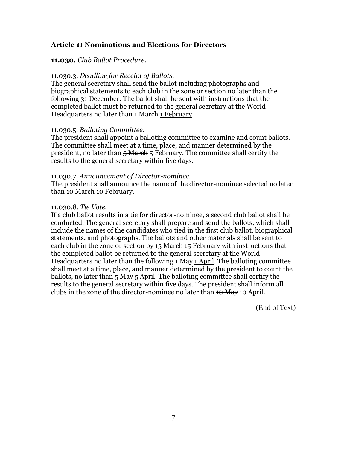## **Article 11 Nominations and Elections for Directors**

#### **11.030.** *Club Ballot Procedure.*

#### 11.030.3. *Deadline for Receipt of Ballots.*

The general secretary shall send the ballot including photographs and biographical statements to each club in the zone or section no later than the following 31 December. The ballot shall be sent with instructions that the completed ballot must be returned to the general secretary at the World Headquarters no later than <del>1 March</del> 1 February.

#### 11.030.5. *Balloting Committee.*

The president shall appoint a balloting committee to examine and count ballots. The committee shall meet at a time, place, and manner determined by the president, no later than  $\frac{1}{5}$  March 5 February. The committee shall certify the results to the general secretary within five days.

#### 11.030.7. *Announcement of Director-nominee.*

The president shall announce the name of the director-nominee selected no later than <del>10 March</del> 10 February.

#### 11.030.8. *Tie Vote.*

If a club ballot results in a tie for director-nominee, a second club ballot shall be conducted. The general secretary shall prepare and send the ballots, which shall include the names of the candidates who tied in the first club ballot, biographical statements, and photographs. The ballots and other materials shall be sent to each club in the zone or section by  $15$  March 15 February with instructions that the completed ballot be returned to the general secretary at the World Headquarters no later than the following  $\pm$  May 1 April. The balloting committee shall meet at a time, place, and manner determined by the president to count the ballots, no later than  $\frac{1}{5}$  May 5 April. The balloting committee shall certify the results to the general secretary within five days. The president shall inform all clubs in the zone of the director-nominee no later than  $10$  May 10 April.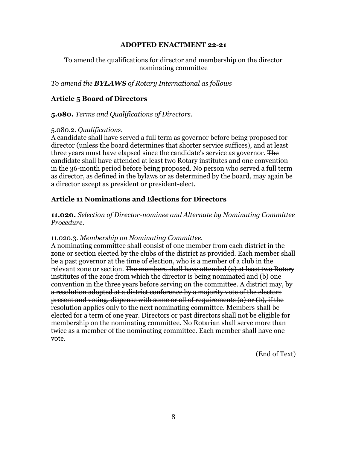## To amend the qualifications for director and membership on the director nominating committee

*To amend the BYLAWS of Rotary International as follows*

## **Article 5 Board of Directors**

#### **5.080.** *Terms and Qualifications of Directors*.

#### 5.080.2. *Qualifications.*

A candidate shall have served a full term as governor before being proposed for director (unless the board determines that shorter service suffices), and at least three years must have elapsed since the candidate's service as governor. The candidate shall have attended at least two Rotary institutes and one convention in the 36-month period before being proposed. No person who served a full term as director, as defined in the bylaws or as determined by the board, may again be a director except as president or president-elect.

## **Article 11 Nominations and Elections for Directors**

**11.020.** *Selection of Director-nominee and Alternate by Nominating Committee Procedure.*

#### 11.020.3. *Membership on Nominating Committee.*

A nominating committee shall consist of one member from each district in the zone or section elected by the clubs of the district as provided. Each member shall be a past governor at the time of election, who is a member of a club in the relevant zone or section. The members shall have attended (a) at least two Rotary institutes of the zone from which the director is being nominated and (b) one convention in the three years before serving on the committee. A district may, by a resolution adopted at a district conference by a majority vote of the electors present and voting, dispense with some or all of requirements (a) or (b), if the resolution applies only to the next nominating committee. Members shall be elected for a term of one year. Directors or past directors shall not be eligible for membership on the nominating committee. No Rotarian shall serve more than twice as a member of the nominating committee. Each member shall have one vote.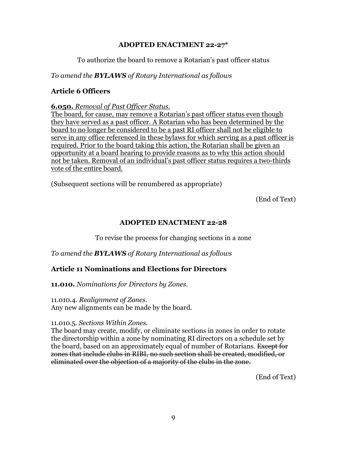## To authorize the board to remove a Rotarian's past officer status

## *To amend the BYLAWS of Rotary International as follows*

## **Article 6 Officers**

#### **6.050.** *Removal of Past Officer Status.*

The board, for cause, may remove a Rotarian's past officer status even though they have served as a past officer. A Rotarian who has been determined by the board to no longer be considered to be a past RI officer shall not be eligible to serve in any office referenced in these bylaws for which serving as a past officer is required. Prior to the board taking this action, the Rotarian shall be given an opportunity at a board hearing to provide reasons as to why this action should not be taken. Removal of an individual's past officer status requires a two-thirds vote of the entire board.

(Subsequent sections will be renumbered as appropriate)

(End of Text)

## **ADOPTED ENACTMENT 22-28**

To revise the process for changing sections in a zone

*To amend the BYLAWS of Rotary International as follows*

## **Article 11 Nominations and Elections for Directors**

**11.010.** *Nominations for Directors by Zones.*

## 11.010.4. *Realignment of Zones.*

Any new alignments can be made by the board.

#### 11.010.5. *Sections Within Zones.*

The board may create, modify, or eliminate sections in zones in order to rotate the directorship within a zone by nominating RI directors on a schedule set by the board, based on an approximately equal of number of Rotarians. Except for zones that include clubs in RIBI, no such section shall be created, modified, or eliminated over the objection of a majority of the clubs in the zone.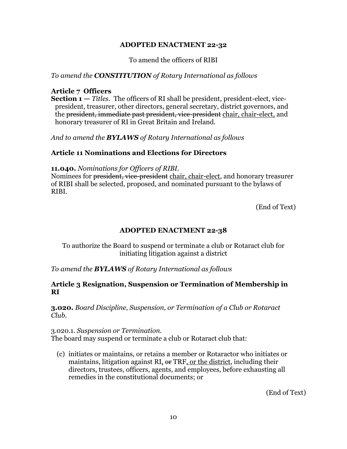To amend the officers of RIBI

## *To amend the CONSTITUTION of Rotary International as follows*

## **Article 7 Officers**

**Section 1 —** *Titles.* The officers of RI shall be president, president-elect, vicepresident, treasurer, other directors, general secretary, district governors, and the president, immediate past president, vice-president chair, chair-elect, and honorary treasurer of RI in Great Britain and Ireland.

*And to amend the BYLAWS of Rotary International as follows*

## **Article 11 Nominations and Elections for Directors**

#### **11.040.** *Nominations for Officers of RIBI.*

Nominees for president, vice-president chair, chair-elect, and honorary treasurer of RIBI shall be selected, proposed, and nominated pursuant to the bylaws of RIBI.

(End of Text)

## **ADOPTED ENACTMENT 22-38**

To authorize the Board to suspend or terminate a club or Rotaract club for initiating litigation against a district

*To amend the BYLAWS of Rotary International as follows*

## **Article 3 Resignation, Suspension or Termination of Membership in RI**

**3.020.** *Board Discipline, Suspension, or Termination of a Club or Rotaract Club.*

## 3.020.1. *Suspension or Termination.*

The board may suspend or terminate a club or Rotaract club that:

(c) initiates or maintains, or retains a member or Rotaractor who initiates or maintains, litigation against RI,  $\Theta$  TRF, or the district, including their directors, trustees, officers, agents, and employees, before exhausting all remedies in the constitutional documents; or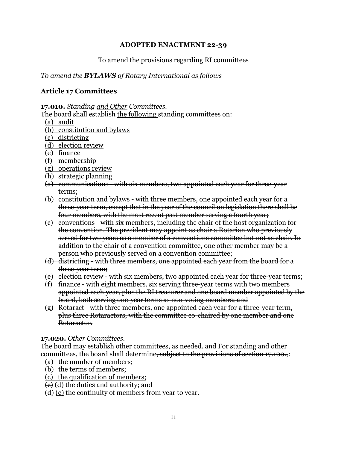## To amend the provisions regarding RI committees

## *To amend the BYLAWS of Rotary International as follows*

## **Article 17 Committees**

**17.010.** *Standing and Other Committees.*

The board shall establish the following standing committees on:

- (a) audit
- (b) constitution and bylaws
- (c) districting
- (d) election review
- (e) finance
- (f) membership
- (g) operations review
- (h) strategic planning
- (a) communications with six members, two appointed each year for three-year terms;
- (b) constitution and bylaws with three members, one appointed each year for a three-year term, except that in the year of the council on legislation there shall be four members, with the most recent past member serving a fourth year;
- (c) conventions with six members, including the chair of the host organization for the convention. The president may appoint as chair a Rotarian who previously served for two years as a member of a conventions committee but not as chair. In addition to the chair of a convention committee, one other member may be a person who previously served on a convention committee;
- (d) districting with three members, one appointed each year from the board for a three-year term;
- (e) election review with six members, two appointed each year for three-year terms;
- (f) finance with eight members, six serving three-year terms with two members appointed each year, plus the RI treasurer and one board member appointed by the board, both serving one-year terms as non-voting members; and
- (g) Rotaract with three members, one appointed each year for a three-year term, plus three Rotaractors, with the committee co-chaired by one member and one Rotaractor.

## **17.020.** *Other Committees.*

The board may establish other committees, as needed. and For standing and other committees, the board shall determine, subject to the provisions of section 17.100.

- (a) the number of members;
- (b) the terms of members;
- (c) the qualification of members;
- (c) (d) the duties and authority; and
- $(d)$  (e) the continuity of members from year to year.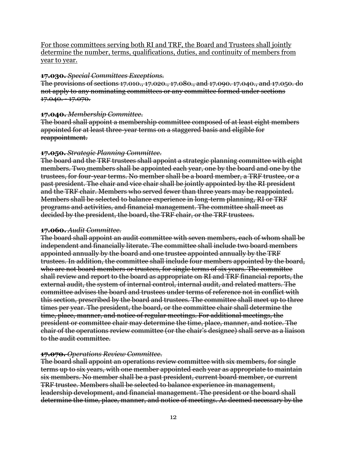For those committees serving both RI and TRF, the Board and Trustees shall jointly determine the number, terms, qualifications, duties, and continuity of members from year to year.

#### **17.030.** *Special Committees Exceptions.*

The provisions of sections 17.010., 17.020., 17.080., and 17.090. 17.040., and 17.050. do not apply to any nominating committees or any committee formed under sections 17.040. - 17.070.

#### **17.040.** *Membership Committee*.

The board shall appoint a membership committee composed of at least eight members appointed for at least three-year terms on a staggered basis and eligible for reappointment.

#### **17.050.** *Strategic Planning Committee*.

The board and the TRF trustees shall appoint a strategic planning committee with eight members. Two members shall be appointed each year, one by the board and one by the trustees, for four-year terms. No member shall be a board member, a TRF trustee, or a past president. The chair and vice chair shall be jointly appointed by the RI president and the TRF chair. Members who served fewer than three years may be reappointed. Members shall be selected to balance experience in long-term planning, RI or TRF programs and activities, and financial management. The committee shall meet as decided by the president, the board, the TRF chair, or the TRF trustees.

## **17.060.** *Audit Committee.*

The board shall appoint an audit committee with seven members, each of whom shall be independent and financially literate. The committee shall include two board members appointed annually by the board and one trustee appointed annually by the TRF trustees. In addition, the committee shall include four members appointed by the board, who are not board members or trustees, for single terms of six years. The committee shall review and report to the board as appropriate on RI and TRF financial reports, the external audit, the system of internal control, internal audit, and related matters. The committee advises the board and trustees under terms of reference not in conflict with this section, prescribed by the board and trustees. The committee shall meet up to three times per year. The president, the board, or the committee chair shall determine the time, place, manner, and notice of regular meetings. For additional meetings, the president or committee chair may determine the time, place, manner, and notice. The chair of the operations review committee (or the chair's designee) shall serve as a liaison to the audit committee.

## **17.070.** *Operations Review Committee.*

The board shall appoint an operations review committee with six members, for single terms up to six years, with one member appointed each year as appropriate to maintain six members. No member shall be a past president, current board member, or current TRF trustee. Members shall be selected to balance experience in management, leadership development, and financial management. The president or the board shall determine the time, place, manner, and notice of meetings. As deemed necessary by the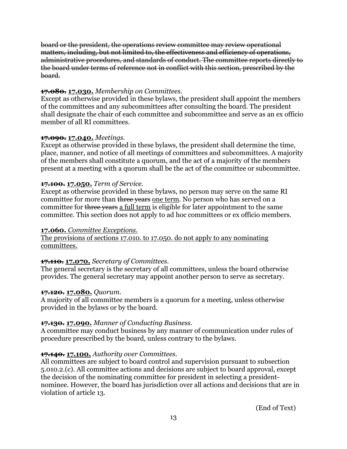board or the president, the operations review committee may review operational matters, including, but not limited to, the effectiveness and efficiency of operations, administrative procedures, and standards of conduct. The committee reports directly to the board under terms of reference not in conflict with this section, prescribed by the board.

## **17.080. 17.030.** *Membership on Committees.*

Except as otherwise provided in these bylaws, the president shall appoint the members of the committees and any subcommittees after consulting the board. The president shall designate the chair of each committee and subcommittee and serve as an ex officio member of all RI committees.

## **17.090. 17.040.** *Meetings.*

Except as otherwise provided in these bylaws, the president shall determine the time, place, manner, and notice of all meetings of committees and subcommittees. A majority of the members shall constitute a quorum, and the act of a majority of the members present at a meeting with a quorum shall be the act of the committee or subcommittee.

## **17.100. 17.050.** *Term of Service.*

Except as otherwise provided in these bylaws, no person may serve on the same RI committee for more than three years one term. No person who has served on a committee for three years a full term is eligible for later appointment to the same committee. This section does not apply to ad hoc committees or ex officio members.

## **17.060.** *Committee Exceptions.*

The provisions of sections 17.010. to 17.050. do not apply to any nominating committees.

## **17.110. 17.070.** *Secretary of Committees.*

The general secretary is the secretary of all committees, unless the board otherwise provides. The general secretary may appoint another person to serve as secretary.

## **17.120. 17.080.** *Quorum.*

A majority of all committee members is a quorum for a meeting, unless otherwise provided in the bylaws or by the board.

## **17.130. 17.090.** *Manner of Conducting Business.*

A committee may conduct business by any manner of communication under rules of procedure prescribed by the board, unless contrary to the bylaws.

## **17.140. 17.100.** *Authority over Committees.*

All committees are subject to board control and supervision pursuant to subsection 5.010.2.(c). All committee actions and decisions are subject to board approval, except the decision of the nominating committee for president in selecting a presidentnominee. However, the board has jurisdiction over all actions and decisions that are in violation of article 13.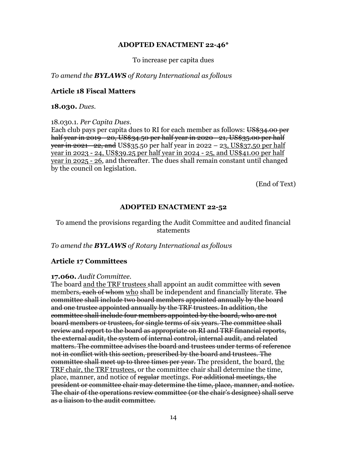To increase per capita dues

*To amend the BYLAWS of Rotary International as follows*

#### **Article 18 Fiscal Matters**

**18.030.** *Dues.*

18.030.1. *Per Capita Dues*.

Each club pays per capita dues to RI for each member as follows: US\$34.00 per half year in 2019 - 20, US\$34.50 per half year in 2020 - 21, US\$35.00 per half year in 2021 - 22, and US\$35.50 per half year in 2022 - 23, US\$37.50 per half year in 2023 - 24, US\$39.25 per half year in 2024 - 25, and US\$41.00 per half year in 2025 - 26, and thereafter. The dues shall remain constant until changed by the council on legislation.

(End of Text)

## **ADOPTED ENACTMENT 22-52**

## To amend the provisions regarding the Audit Committee and audited financial statements

*To amend the BYLAWS of Rotary International as follows*

## **Article 17 Committees**

#### **17.060.** *Audit Committee.*

The board and the TRF trustees shall appoint an audit committee with seven members, each of whom who shall be independent and financially literate. The committee shall include two board members appointed annually by the board and one trustee appointed annually by the TRF trustees. In addition, the committee shall include four members appointed by the board, who are not board members or trustees, for single terms of six years. The committee shall review and report to the board as appropriate on RI and TRF financial reports, the external audit, the system of internal control, internal audit, and related matters. The committee advises the board and trustees under terms of reference not in conflict with this section, prescribed by the board and trustees. The committee shall meet up to three times per year. The president, the board, the TRF chair, the TRF trustees, or the committee chair shall determine the time, place, manner, and notice of regular meetings. For additional meetings, the president or committee chair may determine the time, place, manner, and notice. The chair of the operations review committee (or the chair's designee) shall serve as a liaison to the audit committee.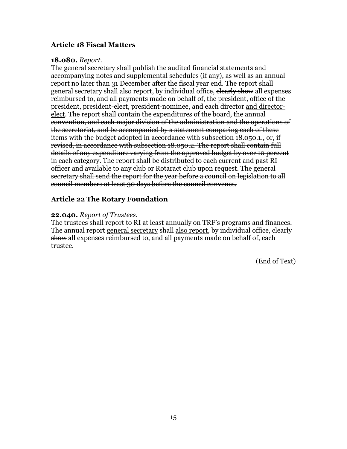## **Article 18 Fiscal Matters**

#### **18.080.** *Report.*

The general secretary shall publish the audited financial statements and accompanying notes and supplemental schedules (if any), as well as an annual report no later than 31 December after the fiscal year end. The report shall general secretary shall also report, by individual office, elearly show all expenses reimbursed to, and all payments made on behalf of, the president, office of the president, president-elect, president-nominee, and each director and directorelect. The report shall contain the expenditures of the board, the annual convention, and each major division of the administration and the operations of the secretariat, and be accompanied by a statement comparing each of these items with the budget adopted in accordance with subsection 18.050.1., or, if revised, in accordance with subsection 18.050.2. The report shall contain full details of any expenditure varying from the approved budget by over 10 percent in each category. The report shall be distributed to each current and past RI officer and available to any club or Rotaract club upon request. The general secretary shall send the report for the year before a council on legislation to all council members at least 30 days before the council convenes.

## **Article 22 The Rotary Foundation**

#### **22.040.** *Report of Trustees.*

The trustees shall report to RI at least annually on TRF's programs and finances. The annual report general secretary shall also report, by individual office, elearly show all expenses reimbursed to, and all payments made on behalf of, each trustee.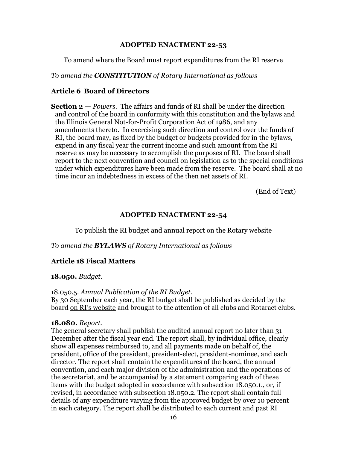To amend where the Board must report expenditures from the RI reserve

*To amend the CONSTITUTION of Rotary International as follows* 

## **Article 6 Board of Directors**

**Section 2 —** *Powers.* The affairs and funds of RI shall be under the direction and control of the board in conformity with this constitution and the bylaws and the Illinois General Not-for-Profit Corporation Act of 1986, and any amendments thereto. In exercising such direction and control over the funds of RI, the board may, as fixed by the budget or budgets provided for in the bylaws, expend in any fiscal year the current income and such amount from the RI reserve as may be necessary to accomplish the purposes of RI. The board shall report to the next convention and council on legislation as to the special conditions under which expenditures have been made from the reserve. The board shall at no time incur an indebtedness in excess of the then net assets of RI.

(End of Text)

## **ADOPTED ENACTMENT 22-54**

To publish the RI budget and annual report on the Rotary website

*To amend the BYLAWS of Rotary International as follows* 

## **Article 18 Fiscal Matters**

## **18.050.** *Budget.*

#### 18.050.5. *Annual Publication of the RI Budget.*

By 30 September each year, the RI budget shall be published as decided by the board on RI's website and brought to the attention of all clubs and Rotaract clubs.

#### **18.080.** *Report.*

The general secretary shall publish the audited annual report no later than 31 December after the fiscal year end. The report shall, by individual office, clearly show all expenses reimbursed to, and all payments made on behalf of, the president, office of the president, president-elect, president-nominee, and each director. The report shall contain the expenditures of the board, the annual convention, and each major division of the administration and the operations of the secretariat, and be accompanied by a statement comparing each of these items with the budget adopted in accordance with subsection 18.050.1., or, if revised, in accordance with subsection 18.050.2. The report shall contain full details of any expenditure varying from the approved budget by over 10 percent in each category. The report shall be distributed to each current and past RI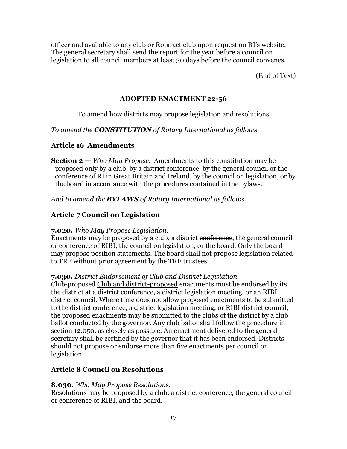officer and available to any club or Rotaract club upon request on RI's website. The general secretary shall send the report for the year before a council on legislation to all council members at least 30 days before the council convenes.

(End of Text)

## **ADOPTED ENACTMENT 22-56**

## To amend how districts may propose legislation and resolutions

*To amend the CONSTITUTION of Rotary International as follows* 

## **Article 16 Amendments**

**Section 2 —** *Who May Propose.* Amendments to this constitution may be proposed only by a club, by a district conference, by the general council or the conference of RI in Great Britain and Ireland, by the council on legislation, or by the board in accordance with the procedures contained in the bylaws.

*And to amend the BYLAWS of Rotary International as follows* 

## **Article 7 Council on Legislation**

## **7.020.** *Who May Propose Legislation.*

Enactments may be proposed by a club, a district conference, the general council or conference of RIBI, the council on legislation, or the board. Only the board may propose position statements. The board shall not propose legislation related to TRF without prior agreement by the TRF trustees.

## **7.030.** *District Endorsement of Club and District Legislation.*

Club-proposed Club and district-proposed enactments must be endorsed by its the district at a district conference, a district legislation meeting, or an RIBI district council. Where time does not allow proposed enactments to be submitted to the district conference, a district legislation meeting, or RIBI district council, the proposed enactments may be submitted to the clubs of the district by a club ballot conducted by the governor. Any club ballot shall follow the procedure in section 12.050. as closely as possible. An enactment delivered to the general secretary shall be certified by the governor that it has been endorsed. Districts should not propose or endorse more than five enactments per council on legislation.

## **Article 8 Council on Resolutions**

## **8.030.** *Who May Propose Resolutions.*

Resolutions may be proposed by a club, a district conference, the general council or conference of RIBI, and the board.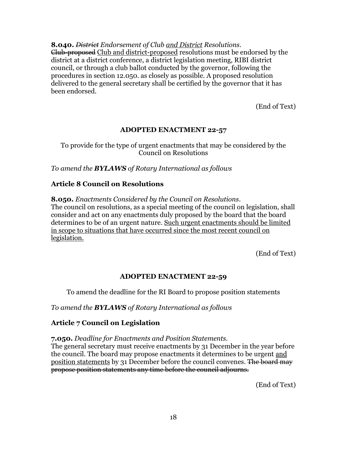**8.040.** *District Endorsement of Club and District Resolutions.* Club-proposed Club and district-proposed resolutions must be endorsed by the district at a district conference, a district legislation meeting, RIBI district council, or through a club ballot conducted by the governor, following the procedures in section 12.050. as closely as possible. A proposed resolution delivered to the general secretary shall be certified by the governor that it has been endorsed.

(End of Text)

## **ADOPTED ENACTMENT 22-57**

To provide for the type of urgent enactments that may be considered by the Council on Resolutions

*To amend the BYLAWS of Rotary International as follows*

## **Article 8 Council on Resolutions**

**8.050.** *Enactments Considered by the Council on Resolutions*.

The council on resolutions, as a special meeting of the council on legislation, shall consider and act on any enactments duly proposed by the board that the board determines to be of an urgent nature. Such urgent enactments should be limited in scope to situations that have occurred since the most recent council on legislation.

(End of Text)

## **ADOPTED ENACTMENT 22-59**

To amend the deadline for the RI Board to propose position statements

*To amend the BYLAWS of Rotary International as follows*

## **Article 7 Council on Legislation**

**7.050.** *Deadline for Enactments and Position Statements.*

The general secretary must receive enactments by 31 December in the year before the council. The board may propose enactments it determines to be urgent and position statements by 31 December before the council convenes. The board may propose position statements any time before the council adjourns.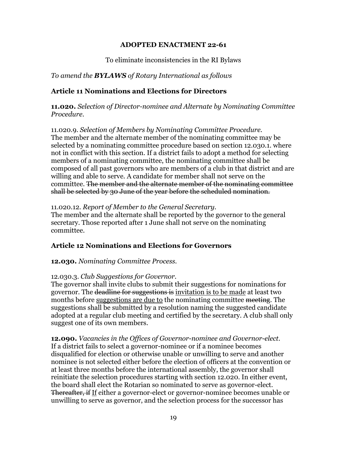## To eliminate inconsistencies in the RI Bylaws

## *To amend the BYLAWS of Rotary International as follows*

## **Article 11 Nominations and Elections for Directors**

**11.020.** *Selection of Director-nominee and Alternate by Nominating Committee Procedure.*

11.020.9. *Selection of Members by Nominating Committee Procedure.* The member and the alternate member of the nominating committee may be selected by a nominating committee procedure based on section 12.030.1. where not in conflict with this section. If a district fails to adopt a method for selecting members of a nominating committee, the nominating committee shall be composed of all past governors who are members of a club in that district and are willing and able to serve. A candidate for member shall not serve on the committee. The member and the alternate member of the nominating committee shall be selected by 30 June of the year before the scheduled nomination.

## 11.020.12. *Report of Member to the General Secretary.*

The member and the alternate shall be reported by the governor to the general secretary. Those reported after 1 June shall not serve on the nominating committee.

## **Article 12 Nominations and Elections for Governors**

**12.030.** *Nominating Committee Process.*

## 12.030.3. *Club Suggestions for Governor.*

The governor shall invite clubs to submit their suggestions for nominations for governor. The deadline for suggestions is invitation is to be made at least two months before suggestions are due to the nominating committee meeting. The suggestions shall be submitted by a resolution naming the suggested candidate adopted at a regular club meeting and certified by the secretary. A club shall only suggest one of its own members.

**12.090.** *Vacancies in the Offices of Governor-nominee and Governor-elect.* If a district fails to select a governor-nominee or if a nominee becomes disqualified for election or otherwise unable or unwilling to serve and another nominee is not selected either before the election of officers at the convention or at least three months before the international assembly, the governor shall reinitiate the selection procedures starting with section 12.020. In either event, the board shall elect the Rotarian so nominated to serve as governor-elect. Thereafter, if If either a governor-elect or governor-nominee becomes unable or unwilling to serve as governor, and the selection process for the successor has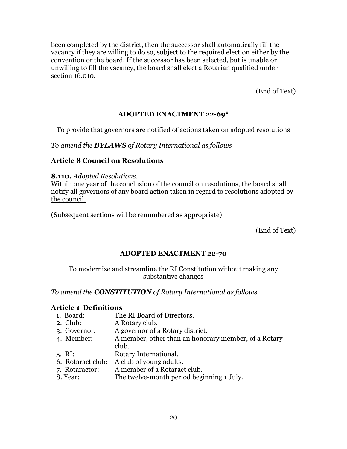been completed by the district, then the successor shall automatically fill the vacancy if they are willing to do so, subject to the required election either by the convention or the board. If the successor has been selected, but is unable or unwilling to fill the vacancy, the board shall elect a Rotarian qualified under section 16.010.

(End of Text)

## **ADOPTED ENACTMENT 22-69\***

To provide that governors are notified of actions taken on adopted resolutions

*To amend the BYLAWS of Rotary International as follows* 

## **Article 8 Council on Resolutions**

**8.110.** *Adopted Resolutions.* 

Within one year of the conclusion of the council on resolutions, the board shall notify all governors of any board action taken in regard to resolutions adopted by the council.

(Subsequent sections will be renumbered as appropriate)

(End of Text)

## **ADOPTED ENACTMENT 22-70**

To modernize and streamline the RI Constitution without making any substantive changes

*To amend the CONSTITUTION of Rotary International as follows* 

## **Article 1 Definitions**

- 1. Board: The RI Board of Directors.
- 2. Club: A Rotary club.
- 3. Governor: A governor of a Rotary district.
- 4. Member: A member, other than an honorary member, of a Rotary club.
- 5. RI: Rotary International.
- 6. Rotaract club: A club of young adults.
- 7. Rotaractor: A member of a Rotaract club.
- 8. Year: The twelve-month period beginning 1 July.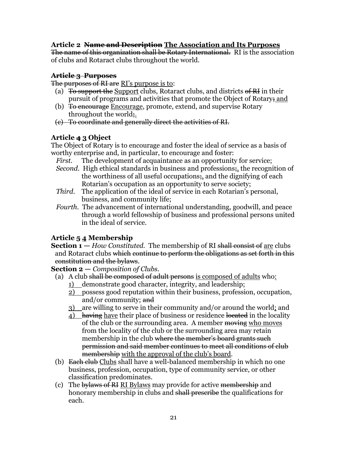## **Article 2 Name and Description The Association and Its Purposes**

The name of this organization shall be Rotary International. RI is the association of clubs and Rotaract clubs throughout the world.

## **Article 3 Purposes**

The purposes of RI are RI's purpose is to:

- (a) To support the Support clubs, Rotaract clubs, and districts of  $\overline{R}I$  in their pursuit of programs and activities that promote the Object of Rotary; and
- (b) To encourage Encourage, promote, extend, and supervise Rotary throughout the world;
- (c) To coordinate and generally direct the activities of RI.

## **Article 4 3 Object**

The Object of Rotary is to encourage and foster the ideal of service as a basis of worthy enterprise and, in particular, to encourage and foster:

- *First.* The development of acquaintance as an opportunity for service;
- *Second.* High ethical standards in business and professions; the recognition of the worthiness of all useful occupations;, and the dignifying of each Rotarian's occupation as an opportunity to serve society;
- *Third.* The application of the ideal of service in each Rotarian's personal, business, and community life;
- *Fourth.* The advancement of international understanding, goodwill, and peace through a world fellowship of business and professional persons united in the ideal of service.

## **Article 5 4 Membership**

**Section 1** – *How Constituted.* The membership of RI shall consist of are clubs and Rotaract clubs which continue to perform the obligations as set forth in this constitution and the bylaws.

**Section 2 —** *Composition of Clubs.*

- (a) A club shall be composed of adult persons is composed of adults who:
	- 1) demonstrate good character, integrity, and leadership;
	- 2) possess good reputation within their business, profession, occupation, and/or community; and
	- 3) are willing to serve in their community and/or around the world; and
	- 4) having have their place of business or residence located in the locality of the club or the surrounding area. A member moving who moves from the locality of the club or the surrounding area may retain membership in the club where the member's board grants such permission and said member continues to meet all conditions of club membership with the approval of the club's board.
- (b) Each club Clubs shall have a well-balanced membership in which no one business, profession, occupation, type of community service, or other classification predominates.
- (c) The bylaws of RI RI Bylaws may provide for active membership and honorary membership in clubs and shall prescribe the qualifications for each.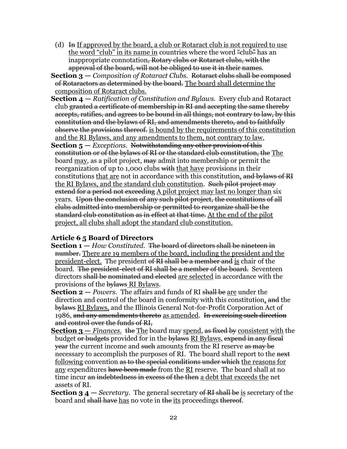- (d)  $\overline{H}$  If approved by the board, a club or Rotaract club is not required to use the word "club" in its name in countries where the word "club" has an inappropriate connotation, Rotary clubs or Rotaract clubs, with the approval of the board, will not be obliged to use it in their names.
- **Section 3 —** *Composition of Rotaract Clubs.* Rotaract clubs shall be composed of Rotaractors as determined by the board. The board shall determine the composition of Rotaract clubs.
- **Section 4 —** *Ratification of Constitution and Bylaws.* Every club and Rotaract club granted a certificate of membership in RI and accepting the same thereby accepts, ratifies, and agrees to be bound in all things, not contrary to law, by this constitution and the bylaws of RI, and amendments thereto, and to faithfully observe the provisions thereof. is bound by the requirements of this constitution and the RI Bylaws, and any amendments to them, not contrary to law.
- **Section 5 —** *Exceptions.* Notwithstanding any other provision of this constitution or of the bylaws of RI or the standard club constitution, the The board may, as a pilot project, may admit into membership or permit the reorganization of up to 1,000 clubs with that have provisions in their constitutions that are not in accordance with this constitution, and bylaws of RI the RI Bylaws, and the standard club constitution. Such pilot project may extend for a period not exceeding A pilot project may last no longer than six years. Upon the conclusion of any such pilot project, the constitutions of all clubs admitted into membership or permitted to reorganize shall be the standard club constitution as in effect at that time. At the end of the pilot project, all clubs shall adopt the standard club constitution.

## **Article 6 5 Board of Directors**

- **Section 1 —** *How Constituted.* The board of directors shall be nineteen in number. There are 19 members of the board, including the president and the president-elect. The president of RI shall be a member and is chair of the board. The president-elect of RI shall be a member of the board. Seventeen directors shall be nominated and elected are selected in accordance with the provisions of the bylaws RI Bylaws.
- **Section 2 —** *Powers.* The affairs and funds of RI shall be are under the direction and control of the board in conformity with this constitution, and the bylaws RI Bylaws, and the Illinois General Not-for-Profit Corporation Act of 1986, and any amendments thereto as amended. In exercising such direction and control over the funds of RI,
- **Section 3 —** *Finances.* the The board may spend, as fixed by consistent with the budget or budgets provided for in the bylaws RI Bylaws, expend in any fiscal **year the current income and <del>such</del> amounts from the RI reserve as may be** necessary to accomplish the purposes of RI. The board shall report to the next following convention as to the special conditions under which the reasons for any expenditures have been made from the RI reserve. The board shall at no time incur an indebtedness in excess of the then a debt that exceeds the net assets of RI.
- **Section 3 4 —** *Secretary.* The general secretary of RI shall be is secretary of the board and shall have has no vote in the its proceedings thereof.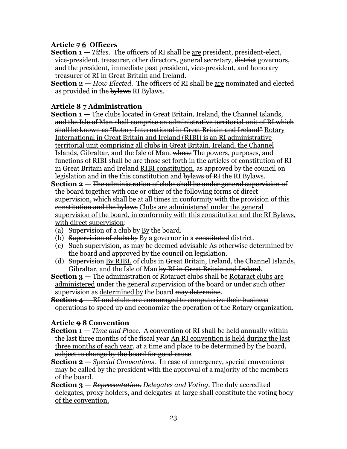## **Article 7 6 Officers**

- **Section 1** *Titles*. The officers of RI shall be <u>are</u> president, president-elect, vice-president, treasurer, other directors, general secretary, district governors, and the president, immediate past president, vice-president, and honorary treasurer of RI in Great Britain and Ireland.
- **Section 2 —** *How Elected.* The officers of RI shall be are nominated and elected as provided in the bylaws RI Bylaws.

## **Article 8 7 Administration**

- **Section 1 —** The clubs located in Great Britain, Ireland, the Channel Islands, and the Isle of Man shall comprise an administrative territorial unit of RI which shall be known as "Rotary International in Great Britain and Ireland" Rotary International in Great Britain and Ireland (RIBI) is an RI administrative territorial unit comprising all clubs in Great Britain, Ireland, the Channel Islands, Gibraltar, and the Isle of Man. whose The powers, purposes, and functions of RIBI shall be are those set forth in the articles of constitution of RI in Great Britain and Ireland RIBI constitution, as approved by the council on legislation and in the this constitution and bylaws of RI the RI Bylaws.
- **Section 2 —** The administration of clubs shall be under general supervision of the board together with one or other of the following forms of direct supervision, which shall be at all times in conformity with the provision of this constitution and the bylaws Clubs are administered under the general supervision of the board, in conformity with this constitution and the RI Bylaws, with direct supervision:
- (a) Supervision of a club by By the board.
- (b) Supervision of clubs by By a governor in a constituted district.
- (c) Such supervision, as may be deemed advisable As otherwise determined by the board and approved by the council on legislation.
- (d) Supervision By RIBI, of clubs in Great Britain, Ireland, the Channel Islands, Gibraltar, and the Isle of Man by RI in Great Britain and Ireland.
- **Section 3 —** The administration of Rotaract clubs shall be Rotaract clubs are administered under the general supervision of the board or <del>under such</del> other supervision as determined by the board may determine.
- **Section 4 —** RI and clubs are encouraged to computerize their business operations to speed up and economize the operation of the Rotary organization.

## **Article 9 8 Convention**

- **Section 1 —** *Time and Place.* A convention of RI shall be held annually within the last three months of the fiscal year An RI convention is held during the last three months of each year, at a time and place to be determined by the board, subject to change by the board for good cause.
- **Section 2 —** *Special Conventions.* In case of emergency, special conventions may be called by the president with <del>the</del> approval <del>of a majority of the members</del> of the board.
- **Section 3 —** *Representation. Delegates and Voting.* The duly accredited delegates, proxy holders, and delegates-at-large shall constitute the voting body of the convention.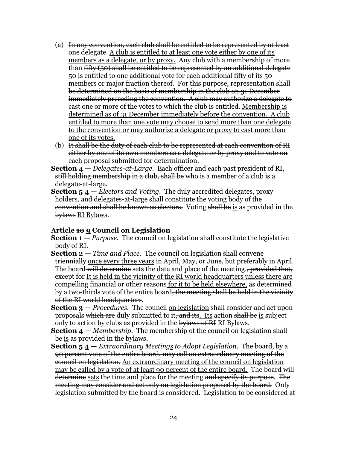- (a) In any convention, each club shall be entitled to be represented by at least one delegate. A club is entitled to at least one vote either by one of its members as a delegate, or by proxy. Any club with a membership of more than fifty (50) shall be entitled to be represented by an additional delegate 50 is entitled to one additional vote for each additional fifty of its 50 members or major fraction thereof. For this purpose, representation shall be determined on the basis of membership in the club on 31 December immediately preceding the convention. A club may authorize a delegate to cast one or more of the votes to which the club is entitled. Membership is determined as of 31 December immediately before the convention. A club entitled to more than one vote may choose to send more than one delegate to the convention or may authorize a delegate or proxy to cast more than one of its votes.
- (b) It shall be the duty of each club to be represented at each convention of RI either by one of its own members as a delegate or by proxy and to vote on each proposal submitted for determination.
- **Section 4 —** *Delegates-at-Large.* Each officer and each past president of RI, still holding membership in a club, shall be who is a member of a club is a delegate-at-large.
- **Section 5 4 —** *Electors and Voting.* The duly accredited delegates, proxy holders, and delegates-at-large shall constitute the voting body of the convention and shall be known as electors. Voting shall be is as provided in the bylaws RI Bylaws.

## **Article 10 9 Council on Legislation**

**Section 1 —** *Purpose.* The council on legislation shall constitute the legislative body of RI.

- **Section 2 —** *Time and Place.* The council on legislation shall convene triennially once every three years in April, May, or June, but preferably in April. The board will determine sets the date and place of the meeting., provided that, except for It is held in the vicinity of the RI world headquarters unless there are compelling financial or other reasons for it to be held elsewhere, as determined by a two-thirds vote of the entire board<del>, the meeting shall be held in the vicinity</del> of the RI world headquarters.
- **Section 3** *Procedures.* The council on legislation shall consider and act upon proposals which are duly submitted to it, and its. Its action shall be is subject only to action by clubs as provided in the bylaws of RI RI Bylaws.
- **Section 4 —** *Membership.* The membership of the council on legislation shall be is as provided in the bylaws.
- **Section 5 4 —** *Extraordinary Meetings to Adopt Legislation.* The board, by a 90 percent vote of the entire board, may call an extraordinary meeting of the council on legislation. An extraordinary meeting of the council on legislation may be called by a vote of at least 90 percent of the entire board. The board will determine sets the time and place for the meeting and specify its purpose. The meeting may consider and act only on legislation proposed by the board. Only legislation submitted by the board is considered. Legislation to be considered at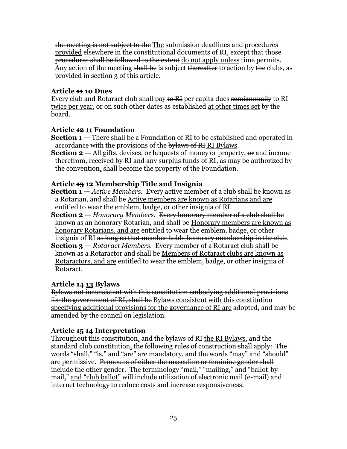the meeting is not subject to the The submission deadlines and procedures provided elsewhere in the constitutional documents of RI, except that those procedures shall be followed to the extent do not apply unless time permits. Any action of the meeting shall be is subject thereafter to action by the clubs, as provided in section 3 of this article.

## **Article 11 10 Dues**

Every club and Rotaract club shall pay to RI per capita dues semiannually to RI twice per year, or <del>on such other dates as established</del> at other times set by the board.

## **Article 12 11 Foundation**

- **Section 1** There shall be a Foundation of RI to be established and operated in accordance with the provisions of the bylaws of RI RI Bylaws.
- **Section 2** All gifts, devises, or bequests of money or property, or and income therefrom, received by RI and any surplus funds of RI, as may be authorized by the convention, shall become the property of the Foundation.

## **Article 13 12 Membership Title and Insignia**

- **Section 1 —** *Active Members.* Every active member of a club shall be known as a Rotarian, and shall be Active members are known as Rotarians and are entitled to wear the emblem, badge, or other insignia of RI.
- **Section 2 —** *Honorary Members.* Every honorary member of a club shall be known as an honorary Rotarian, and shall be Honorary members are known as honorary Rotarians, and are entitled to wear the emblem, badge, or other insignia of RI as long as that member holds honorary membership in the club.
- **Section 3 —** *Rotaract Members.* Every member of a Rotaract club shall be known as a Rotaractor and shall be Members of Rotaract clubs are known as Rotaractors, and are entitled to wear the emblem, badge, or other insignia of Rotaract.

## **Article 14 13 Bylaws**

Bylaws not inconsistent with this constitution embodying additional provisions for the government of RI, shall be Bylaws consistent with this constitution specifying additional provisions for the governance of RI are adopted, and may be amended by the council on legislation.

## **Article 15 14 Interpretation**

Throughout this constitution, and the bylaws of RI the RI Bylaws, and the standard club constitution, the following rules of construction shall apply: The words "shall," "is," and "are" are mandatory, and the words "may" and "should" are permissive. Pronouns of either the masculine or feminine gender shall include the other gender. The terminology "mail," "mailing," and "ballot-bymail," and "club ballot" will include utilization of electronic mail (e-mail) and internet technology to reduce costs and increase responsiveness.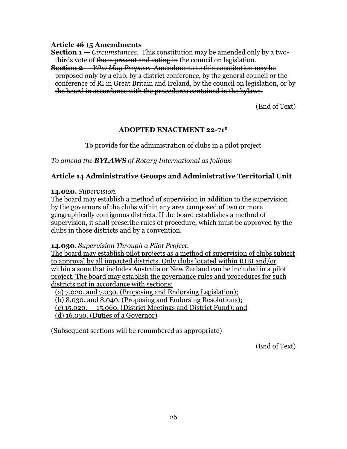#### **Article 16 15 Amendments**

**Section 1 —** *Circumstances.* This constitution may be amended only by a twothirds vote of those present and voting in the council on legislation.

**Section 2 —** *Who May Propose.* Amendments to this constitution may be proposed only by a club, by a district conference, by the general council or the conference of RI in Great Britain and Ireland, by the council on legislation, or by the board in accordance with the procedures contained in the bylaws.

(End of Text)

## **ADOPTED ENACTMENT 22-71\***

To provide for the administration of clubs in a pilot project

*To amend the BYLAWS of Rotary International as follows* 

## **Article 14 Administrative Groups and Administrative Territorial Unit**

#### **14.020.** *Supervision.*

The board may establish a method of supervision in addition to the supervision by the governors of the clubs within any area composed of two or more geographically contiguous districts. If the board establishes a method of supervision, it shall prescribe rules of procedure, which must be approved by the clubs in those districts and by a convention.

## **14.030**. *Supervision Through a Pilot Project.*

The board may establish pilot projects as a method of supervision of clubs subject to approval by all impacted districts. Only clubs located within RIBI and/or within a zone that includes Australia or New Zealand can be included in a pilot project. The board may establish the governance rules and procedures for such districts not in accordance with sections:

(a) 7.020. and 7.030. (Proposing and Endorsing Legislation);

(b) 8.030. and 8.040. (Proposing and Endorsing Resolutions);

(c) 15.020. – 15.060. (District Meetings and District Fund); and

(d) 16.030. (Duties of a Governor)

(Subsequent sections will be renumbered as appropriate)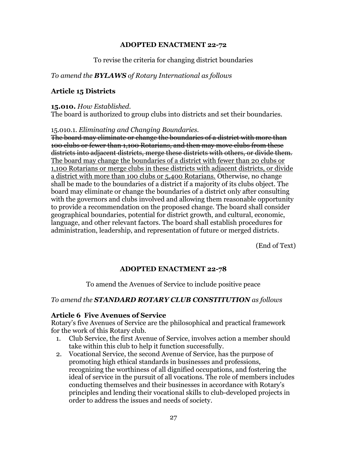## To revise the criteria for changing district boundaries

## *To amend the BYLAWS of Rotary International as follows*

## **Article 15 Districts**

#### **15.010.** *How Established.*

The board is authorized to group clubs into districts and set their boundaries.

#### 15.010.1. *Eliminating and Changing Boundaries.*

The board may eliminate or change the boundaries of a district with more than 100 clubs or fewer than 1,100 Rotarians, and then may move clubs from these districts into adjacent districts, merge these districts with others, or divide them. The board may change the boundaries of a district with fewer than 20 clubs or 1,100 Rotarians or merge clubs in these districts with adjacent districts, or divide a district with more than 100 clubs or 5,400 Rotarians. Otherwise, no change shall be made to the boundaries of a district if a majority of its clubs object. The board may eliminate or change the boundaries of a district only after consulting with the governors and clubs involved and allowing them reasonable opportunity to provide a recommendation on the proposed change. The board shall consider geographical boundaries, potential for district growth, and cultural, economic, language, and other relevant factors. The board shall establish procedures for administration, leadership, and representation of future or merged districts.

(End of Text)

## **ADOPTED ENACTMENT 22-78**

To amend the Avenues of Service to include positive peace

## *To amend the STANDARD ROTARY CLUB CONSTITUTION as follows*

## **Article 6 Five Avenues of Service**

Rotary's five Avenues of Service are the philosophical and practical framework for the work of this Rotary club.

- 1. Club Service, the first Avenue of Service, involves action a member should take within this club to help it function successfully.
- 2. Vocational Service, the second Avenue of Service, has the purpose of promoting high ethical standards in businesses and professions, recognizing the worthiness of all dignified occupations, and fostering the ideal of service in the pursuit of all vocations. The role of members includes conducting themselves and their businesses in accordance with Rotary's principles and lending their vocational skills to club-developed projects in order to address the issues and needs of society.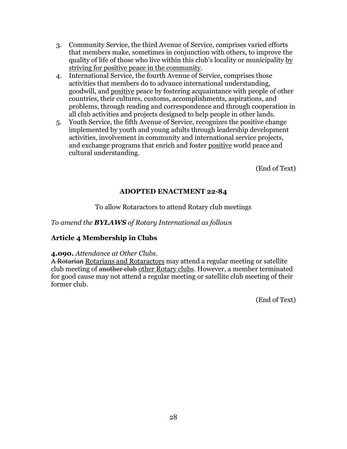- 3. Community Service, the third Avenue of Service, comprises varied efforts that members make, sometimes in conjunction with others, to improve the quality of life of those who live within this club's locality or municipality by striving for positive peace in the community.
- 4. International Service, the fourth Avenue of Service, comprises those activities that members do to advance international understanding, goodwill, and positive peace by fostering acquaintance with people of other countries, their cultures, customs, accomplishments, aspirations, and problems, through reading and correspondence and through cooperation in all club activities and projects designed to help people in other lands.
- 5. Youth Service, the fifth Avenue of Service, recognizes the positive change implemented by youth and young adults through leadership development activities, involvement in community and international service projects, and exchange programs that enrich and foster positive world peace and cultural understanding.

(End of Text)

## **ADOPTED ENACTMENT 22-84**

To allow Rotaractors to attend Rotary club meetings

## *To amend the BYLAWS of Rotary International as follows*

## **Article 4 Membership in Clubs**

## **4.090.** *Attendance at Other Clubs.*

A Rotarian Rotarians and Rotaractors may attend a regular meeting or satellite club meeting of another club other Rotary clubs. However, a member terminated for good cause may not attend a regular meeting or satellite club meeting of their former club.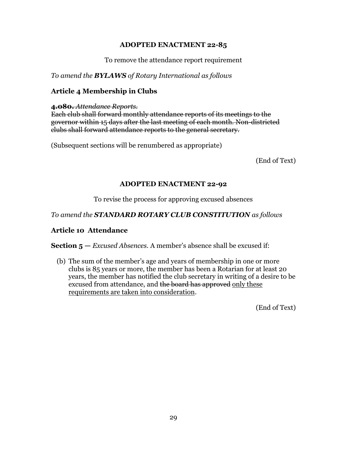To remove the attendance report requirement

*To amend the BYLAWS of Rotary International as follows*

## **Article 4 Membership in Clubs**

**4.080.** *Attendance Reports.*

Each club shall forward monthly attendance reports of its meetings to the governor within 15 days after the last meeting of each month. Non-districted clubs shall forward attendance reports to the general secretary.

(Subsequent sections will be renumbered as appropriate)

(End of Text)

## **ADOPTED ENACTMENT 22-92**

To revise the process for approving excused absences

*To amend the STANDARD ROTARY CLUB CONSTITUTION as follows* 

## **Article 10 Attendance**

**Section 5 —** *Excused Absences.* A member's absence shall be excused if:

(b) The sum of the member's age and years of membership in one or more clubs is 85 years or more, the member has been a Rotarian for at least 20 years, the member has notified the club secretary in writing of a desire to be excused from attendance, and the board has approved only these requirements are taken into consideration.